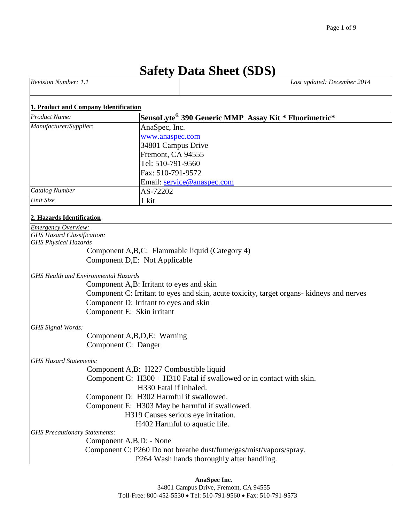# **Safety Data Sheet (SDS)**

| <b>Revision</b><br>Number:<br>the contract of the contract of | 2014<br>Last updated: December |
|---------------------------------------------------------------|--------------------------------|
|                                                               |                                |

#### **1. Product and Company Identification**

| <b>Product Name:</b>              | SensoLyte <sup>®</sup> 390 Generic MMP Assay Kit * Fluorimetric* |
|-----------------------------------|------------------------------------------------------------------|
| Manufacturer/Supplier:            | AnaSpec, Inc.                                                    |
|                                   | www.anaspec.com                                                  |
|                                   | 34801 Campus Drive                                               |
|                                   | Fremont, CA 94555                                                |
|                                   | Tel: 510-791-9560                                                |
|                                   | Fax: 510-791-9572                                                |
|                                   | Email: service@anaspec.com                                       |
| <b>Catalog Number</b>             | AS-72202                                                         |
| Unit Size                         | 1 kit                                                            |
| 2. Hazards Identification         |                                                                  |
| <b>Emergency Overview:</b>        |                                                                  |
| <b>GHS Hazard Classification:</b> |                                                                  |
| <b>GHS Physical Hazards</b>       |                                                                  |

Component A,B,C: Flammable liquid (Category 4) Component D,E: Not Applicable

*GHS Health and Environmental Hazards*

Component A,B: Irritant to eyes and skin Component C: Irritant to eyes and skin, acute toxicity, target organs- kidneys and nerves Component D: Irritant to eyes and skin Component E: Skin irritant

*GHS Signal Words:*

 Component A,B,D,E: Warning Component C: Danger

#### *GHS Hazard Statements:*

 Component A,B: H227 Combustible liquid Component C: H300 + H310 Fatal if swallowed or in contact with skin. H330 Fatal if inhaled. Component D: H302 Harmful if swallowed. Component E: H303 May be harmful if swallowed. H319 Causes serious eye irritation.

H402 Harmful to aquatic life.

*GHS Precautionary Statements:*

Component A,B,D: - None

 Component C: P260 Do not breathe dust/fume/gas/mist/vapors/spray. P264 Wash hands thoroughly after handling.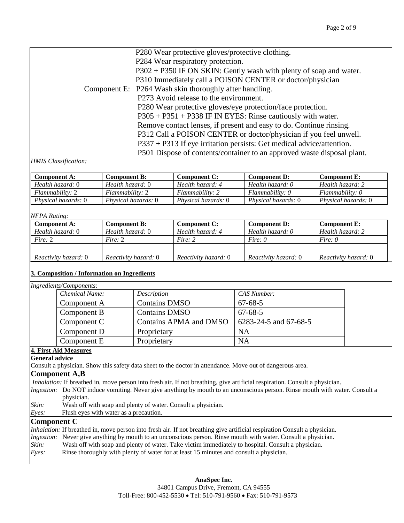| P280 Wear protective gloves/protective clothing.                        |
|-------------------------------------------------------------------------|
| P284 Wear respiratory protection.                                       |
| $P302 + P350$ IF ON SKIN: Gently wash with plenty of soap and water.    |
| P310 Immediately call a POISON CENTER or doctor/physician               |
| Component E: P264 Wash skin thoroughly after handling.                  |
| P273 Avoid release to the environment.                                  |
| P280 Wear protective gloves/eye protection/face protection.             |
| $P305 + P351 + P338$ IF IN EYES: Rinse cautiously with water.           |
| Remove contact lenses, if present and easy to do. Continue rinsing.     |
| P312 Call a POISON CENTER or doctor/physician if you feel unwell.       |
| P337 + P313 If eye irritation persists: Get medical advice/attention.   |
| P501 Dispose of contents/container to an approved waste disposal plant. |
|                                                                         |

#### *HMIS Classification:*

| <b>Component A:</b>        | Component B:               | Component C:               | <b>Component D:</b>        | <b>Component E:</b>        |
|----------------------------|----------------------------|----------------------------|----------------------------|----------------------------|
| Health hazard: 0           | Health hazard: 0           | Health hazard: 4           | Health hazard: 0           | Health hazard: 2           |
| Flammability: 2            | Flammability: 2            | Flammability: 2            | Flammability: 0            | $Flammability: O$          |
| <i>Physical hazards:</i> 0 | <i>Physical hazards:</i> 0 | <i>Physical hazards:</i> 0 | <i>Physical hazards:</i> 0 | <i>Physical hazards:</i> 0 |

### *NFPA Rating:*

| <b>Component A:</b>         | <b>Component B:</b>  | <b>Component C:</b>  | <b>Component D:</b>         | <b>Component E:</b>  |
|-----------------------------|----------------------|----------------------|-----------------------------|----------------------|
| Health hazard: 0            | Health hazard: 0     | Health hazard: 4     | Health hazard: 0            | Health hazard: 2     |
| Fire: 2                     | Fire: $2$            | Fire: 2              | Fire: 0                     | Fire: $\theta$       |
|                             |                      |                      |                             |                      |
| <i>Reactivity hazard:</i> 0 | Reactivity hazard: 0 | Reactivity hazard: 0 | <i>Reactivity hazard:</i> 0 | Reactivity hazard: 0 |

### **3. Composition / Information on Ingredients**

# *Ingredients/Components:*

| Chemical Name: | Description            | CAS Number:           |
|----------------|------------------------|-----------------------|
| Component A    | <b>Contains DMSO</b>   | $67 - 68 - 5$         |
| Component B    | <b>Contains DMSO</b>   | $67 - 68 - 5$         |
| Component C    | Contains APMA and DMSO | 6283-24-5 and 67-68-5 |
| Component D    | Proprietary            | NA                    |
| Component E    | Proprietary            | NA                    |

# **4. First Aid Measures**

**General advice**

Consult a physician. Show this safety data sheet to the doctor in attendance. Move out of dangerous area.

### **Component A,B**

*Inhalation:* If breathed in, move person into fresh air. If not breathing, give artificial respiration. Consult a physician.

*Ingestion:* Do NOT induce vomiting. Never give anything by mouth to an unconscious person. Rinse mouth with water. Consult a physician.

- *Skin:* Wash off with soap and plenty of water. Consult a physician.
- *Eyes:* Flush eyes with water as a precaution.

# **Component C**

|       | <i>Inhalation:</i> If breathed in, move person into fresh air. If not breathing give artificial respiration Consult a physician. |
|-------|----------------------------------------------------------------------------------------------------------------------------------|
|       | <i>Ingestion:</i> Never give anything by mouth to an unconscious person. Rinse mouth with water. Consult a physician.            |
| Skin: | Wash off with soap and plenty of water. Take victim immediately to hospital. Consult a physician.                                |
| Eyes: | Rinse thoroughly with plenty of water for at least 15 minutes and consult a physician.                                           |
|       |                                                                                                                                  |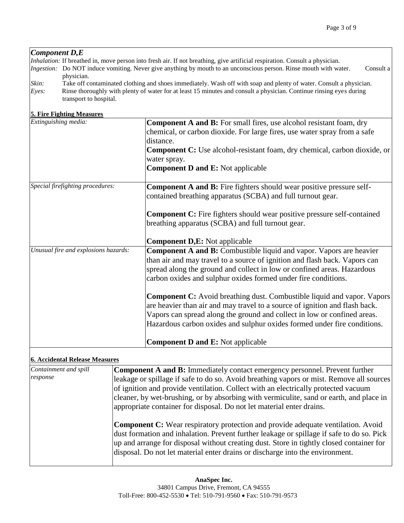# *Component D,E*

| <i>Inhalation:</i> If breathed in, move person into fresh air. If not breathing, give artificial respiration. Consult a physician.                     |           |
|--------------------------------------------------------------------------------------------------------------------------------------------------------|-----------|
| <i>Ingestion:</i> Do NOT induce vomiting. Never give anything by mouth to an unconscious person. Rinse mouth with water.                               |           |
| physician.                                                                                                                                             |           |
| Take off contaminated clothing and shoes immediately. Wash off with soap and plenty of water. Consult a physician.                                     |           |
| Rinse thoroughly with plenty of water for at least 15 minutes and consult a physician. Continue ringing eyes during<br>Eves:<br>transport to hospital. |           |
|                                                                                                                                                        | Consult a |

#### **5. Fire Fighting Measures**

| Extinguishing media:                 | <b>Component A and B:</b> For small fires, use alcohol resistant foam, dry     |
|--------------------------------------|--------------------------------------------------------------------------------|
|                                      | chemical, or carbon dioxide. For large fires, use water spray from a safe      |
|                                      | distance.                                                                      |
|                                      |                                                                                |
|                                      | Component C: Use alcohol-resistant foam, dry chemical, carbon dioxide, or      |
|                                      | water spray.                                                                   |
|                                      | <b>Component D and E: Not applicable</b>                                       |
| Special firefighting procedures:     | <b>Component A and B:</b> Fire fighters should wear positive pressure self-    |
|                                      | contained breathing apparatus (SCBA) and full turnout gear.                    |
|                                      |                                                                                |
|                                      | <b>Component C:</b> Fire fighters should wear positive pressure self-contained |
|                                      | breathing apparatus (SCBA) and full turnout gear.                              |
|                                      |                                                                                |
|                                      | <b>Component D,E: Not applicable</b>                                           |
| Unusual fire and explosions hazards: | <b>Component A and B:</b> Combustible liquid and vapor. Vapors are heavier     |
|                                      | than air and may travel to a source of ignition and flash back. Vapors can     |
|                                      | spread along the ground and collect in low or confined areas. Hazardous        |
|                                      | carbon oxides and sulphur oxides formed under fire conditions.                 |
|                                      |                                                                                |
|                                      | <b>Component C:</b> Avoid breathing dust. Combustible liquid and vapor. Vapors |
|                                      | are heavier than air and may travel to a source of ignition and flash back.    |
|                                      | Vapors can spread along the ground and collect in low or confined areas.       |
|                                      | Hazardous carbon oxides and sulphur oxides formed under fire conditions.       |
|                                      |                                                                                |
|                                      |                                                                                |
|                                      | <b>Component D and E:</b> Not applicable                                       |

## **6. Accidental Release Measures**

| Containment and spill<br>response | <b>Component A and B:</b> Immediately contact emergency personnel. Prevent further<br>leakage or spillage if safe to do so. Avoid breathing vapors or mist. Remove all sources<br>of ignition and provide ventilation. Collect with an electrically protected vacuum<br>cleaner, by wet-brushing, or by absorbing with vermiculite, sand or earth, and place in<br>appropriate container for disposal. Do not let material enter drains. |
|-----------------------------------|------------------------------------------------------------------------------------------------------------------------------------------------------------------------------------------------------------------------------------------------------------------------------------------------------------------------------------------------------------------------------------------------------------------------------------------|
|                                   | <b>Component C:</b> Wear respiratory protection and provide adequate ventilation. Avoid<br>dust formation and inhalation. Prevent further leakage or spillage if safe to do so. Pick<br>up and arrange for disposal without creating dust. Store in tightly closed container for<br>disposal. Do not let material enter drains or discharge into the environment.                                                                        |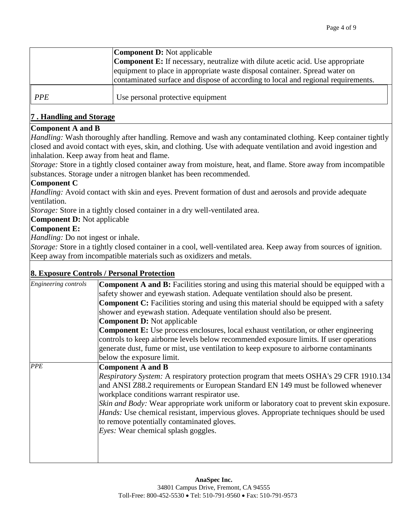|            | <b>Component D:</b> Not applicable                                                    |  |
|------------|---------------------------------------------------------------------------------------|--|
|            | <b>Component E:</b> If necessary, neutralize with dilute acetic acid. Use appropriate |  |
|            | equipment to place in appropriate waste disposal container. Spread water on           |  |
|            | contaminated surface and dispose of according to local and regional requirements.     |  |
| <b>PPE</b> | Use personal protective equipment                                                     |  |

# **7 . Handling and Storage**

# **Component A and B**

*Handling:* Wash thoroughly after handling. Remove and wash any contaminated clothing. Keep container tightly closed and avoid contact with eyes, skin, and clothing. Use with adequate ventilation and avoid ingestion and inhalation. Keep away from heat and flame.

*Storage:* Store in a tightly closed container away from moisture, heat, and flame. Store away from incompatible substances. Storage under a nitrogen blanket has been recommended.

# **Component C**

*Handling:* Avoid contact with skin and eyes. Prevent formation of dust and aerosols and provide adequate ventilation.

*Storage:* Store in a tightly closed container in a dry well-ventilated area.

**Component D:** Not applicable

# **Component E:**

*Handling:* Do not ingest or inhale.

*Storage:* Store in a tightly closed container in a cool, well-ventilated area. Keep away from sources of ignition. Keep away from incompatible materials such as oxidizers and metals.

# **8. Exposure Controls / Personal Protection**

| Engineering controls | <b>Component A and B:</b> Facilities storing and using this material should be equipped with a  |
|----------------------|-------------------------------------------------------------------------------------------------|
|                      | safety shower and eyewash station. Adequate ventilation should also be present.                 |
|                      | <b>Component C:</b> Facilities storing and using this material should be equipped with a safety |
|                      | shower and eyewash station. Adequate ventilation should also be present.                        |
|                      | <b>Component D: Not applicable</b>                                                              |
|                      | <b>Component E:</b> Use process enclosures, local exhaust ventilation, or other engineering     |
|                      | controls to keep airborne levels below recommended exposure limits. If user operations          |
|                      | generate dust, fume or mist, use ventilation to keep exposure to airborne contaminants          |
|                      | below the exposure limit.                                                                       |
| <b>PPE</b>           | <b>Component A and B</b>                                                                        |
|                      | Respiratory System: A respiratory protection program that meets OSHA's 29 CFR 1910.134          |
|                      | and ANSI Z88.2 requirements or European Standard EN 149 must be followed whenever               |
|                      | workplace conditions warrant respirator use.                                                    |
|                      | Skin and Body: Wear appropriate work uniform or laboratory coat to prevent skin exposure.       |
|                      | Hands: Use chemical resistant, impervious gloves. Appropriate techniques should be used         |
|                      | to remove potentially contaminated gloves.                                                      |
|                      | <i>Eyes:</i> Wear chemical splash goggles.                                                      |
|                      |                                                                                                 |
|                      |                                                                                                 |
|                      |                                                                                                 |
|                      |                                                                                                 |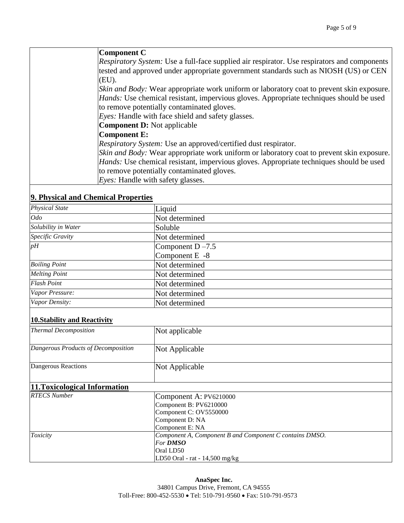## **Component C**

*Respiratory System:* Use a full-face supplied air respirator. Use respirators and components tested and approved under appropriate government standards such as NIOSH (US) or CEN  $(EU)$ .

*Skin and Body:* Wear appropriate work uniform or laboratory coat to prevent skin exposure. *Hands:* Use chemical resistant, impervious gloves. Appropriate techniques should be used to remove potentially contaminated gloves.

*Eyes:* Handle with face shield and safety glasses.

**Component D:** Not applicable

## **Component E:**

*Respiratory System:* Use an approved/certified dust respirator.

*Skin and Body:* Wear appropriate work uniform or laboratory coat to prevent skin exposure. *Hands:* Use chemical resistant, impervious gloves. Appropriate techniques should be used to remove potentially contaminated gloves.

*Eyes:* Handle with safety glasses.

## **9. Physical and Chemical Properties**

| <b>Physical State</b>                                               | Liquid                                                  |  |  |
|---------------------------------------------------------------------|---------------------------------------------------------|--|--|
| Odo                                                                 | Not determined                                          |  |  |
| Solubility in Water                                                 | Soluble                                                 |  |  |
| Specific Gravity                                                    | Not determined                                          |  |  |
| $p\overline{H}$                                                     | Component $D - 7.5$                                     |  |  |
|                                                                     | Component E -8                                          |  |  |
| <b>Boiling Point</b>                                                | Not determined                                          |  |  |
| <b>Melting Point</b>                                                | Not determined                                          |  |  |
| <b>Flash Point</b>                                                  | Not determined                                          |  |  |
| Vapor Pressure:                                                     | Not determined                                          |  |  |
| Vapor Density:                                                      | Not determined                                          |  |  |
| <b>10. Stability and Reactivity</b><br><b>Thermal Decomposition</b> | Not applicable                                          |  |  |
| Dangerous Products of Decomposition                                 | Not Applicable                                          |  |  |
| Dangerous Reactions                                                 | Not Applicable                                          |  |  |
| 11. Toxicological Information                                       |                                                         |  |  |
| <b>RTECS Number</b>                                                 | Component A: PV6210000                                  |  |  |
|                                                                     | Component B: PV6210000                                  |  |  |
|                                                                     | Component C: OV5550000                                  |  |  |
|                                                                     | Component D: NA                                         |  |  |
|                                                                     | Component E: NA                                         |  |  |
| Toxicity                                                            | Component A, Component B and Component C contains DMSO. |  |  |
|                                                                     | For <b>DMSO</b>                                         |  |  |
|                                                                     | Oral LD50                                               |  |  |
|                                                                     | LD50 Oral - rat - 14,500 mg/kg                          |  |  |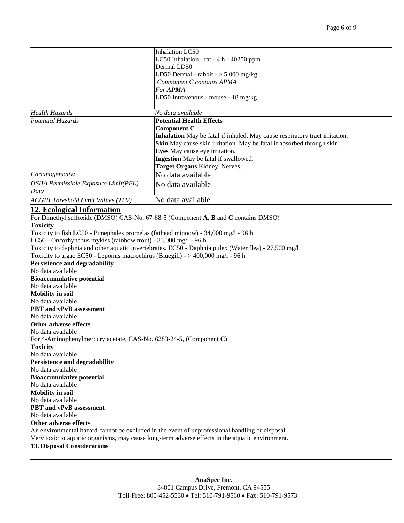|                                                                                   | <b>Inhalation LC50</b>                                                                               |
|-----------------------------------------------------------------------------------|------------------------------------------------------------------------------------------------------|
|                                                                                   | LC50 Inhalation - rat - 4 h - 40250 ppm                                                              |
|                                                                                   | Dermal LD50                                                                                          |
|                                                                                   | LD50 Dermal - rabbit - $>$ 5,000 mg/kg                                                               |
|                                                                                   | Component C contains APMA                                                                            |
|                                                                                   | For <b>APMA</b>                                                                                      |
|                                                                                   | LD50 Intravenous - mouse - 18 mg/kg                                                                  |
|                                                                                   |                                                                                                      |
| <b>Health Hazards</b>                                                             | No data available                                                                                    |
| <b>Potential Hazards</b>                                                          | <b>Potential Health Effects</b>                                                                      |
|                                                                                   | <b>Component C</b>                                                                                   |
|                                                                                   | Inhalation May be fatal if inhaled. May cause respiratory tract irritation.                          |
|                                                                                   | Skin May cause skin irritation. May be fatal if absorbed through skin.                               |
|                                                                                   | Eyes May cause eye irritation.                                                                       |
|                                                                                   | Ingestion May be fatal if swallowed.                                                                 |
|                                                                                   | Target Organs Kidney, Nerves.                                                                        |
| Carcinogenicity:                                                                  | No data available                                                                                    |
| OSHA Permissible Exposure Limit(PEL)                                              | No data available                                                                                    |
| Data                                                                              |                                                                                                      |
| <b>ACGIH Threshold Limit Values (TLV)</b>                                         | No data available                                                                                    |
| 12. Ecological Information                                                        |                                                                                                      |
|                                                                                   | For Dimethyl sulfoxide (DMSO) CAS-No. 67-68-5 (Component A, B and C contains DMSO)                   |
| <b>Toxicity</b>                                                                   |                                                                                                      |
| Toxicity to fish LC50 - Pimephales promelas (fathead minnow) - 34,000 mg/l - 96 h |                                                                                                      |
| LC50 - Oncorhynchus mykiss (rainbow trout) - 35,000 mg/l - 96 h                   |                                                                                                      |
|                                                                                   | Toxicity to daphnia and other aquatic invertebrates. EC50 - Daphnia pulex (Water flea) - 27,500 mg/l |
| Toxicity to algae EC50 - Lepomis macrochirus (Bluegill) - > 400,000 mg/l - 96 h   |                                                                                                      |
| Persistence and degradability                                                     |                                                                                                      |
| No data available                                                                 |                                                                                                      |
| <b>Bioaccumulative potential</b>                                                  |                                                                                                      |
| No data available                                                                 |                                                                                                      |
| <b>Mobility in soil</b>                                                           |                                                                                                      |
| No data available                                                                 |                                                                                                      |
| <b>PBT</b> and vPvB assessment                                                    |                                                                                                      |
| No data available                                                                 |                                                                                                      |
| <b>Other adverse effects</b>                                                      |                                                                                                      |
| No data available                                                                 |                                                                                                      |
| For 4-Aminophenylmercury acetate, CAS-No. 6283-24-5, (Component C)                |                                                                                                      |
| <b>Toxicity</b>                                                                   |                                                                                                      |
| No data available                                                                 |                                                                                                      |
| Persistence and degradability                                                     |                                                                                                      |
| No data available                                                                 |                                                                                                      |
| <b>Bioaccumulative potential</b>                                                  |                                                                                                      |
| No data available                                                                 |                                                                                                      |
| <b>Mobility in soil</b>                                                           |                                                                                                      |
| No data available<br><b>PBT</b> and vPvB assessment                               |                                                                                                      |
| No data available                                                                 |                                                                                                      |
| Other adverse effects                                                             |                                                                                                      |
|                                                                                   | An environmental hazard cannot be excluded in the event of unprofessional handling or disposal.      |
|                                                                                   | Very toxic to aquatic organisms, may cause long-term adverse effects in the aquatic environment.     |
| <b>13. Disposal Considerations</b>                                                |                                                                                                      |
|                                                                                   |                                                                                                      |
|                                                                                   |                                                                                                      |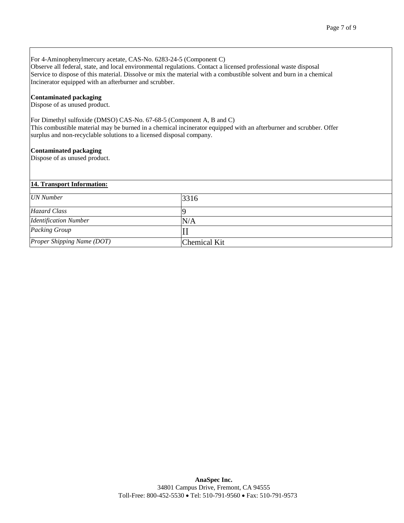For 4-Aminophenylmercury acetate, CAS-No. 6283-24-5 (Component C)

Observe all federal, state, and local environmental regulations. Contact a licensed professional waste disposal Service to dispose of this material. Dissolve or mix the material with a combustible solvent and burn in a chemical Incinerator equipped with an afterburner and scrubber.

#### **Contaminated packaging**

Dispose of as unused product.

For Dimethyl sulfoxide (DMSO) CAS-No. 67-68-5 (Component A, B and C) This combustible material may be burned in a chemical incinerator equipped with an afterburner and scrubber. Offer surplus and non-recyclable solutions to a licensed disposal company.

#### **Contaminated packaging**

Dispose of as unused product.

#### **14. Transport Information:**

| <b>UN</b> Number             | 3316         |
|------------------------------|--------------|
| <b>Hazard Class</b>          |              |
| <b>Identification Number</b> | N/A          |
| Packing Group                |              |
| Proper Shipping Name (DOT)   | Chemical Kit |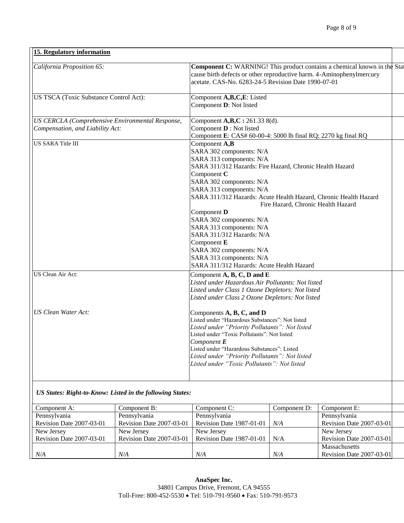| California Proposition 65:                       | Component C: WARNING! This product contains a chemical known in the Sta                       |  |
|--------------------------------------------------|-----------------------------------------------------------------------------------------------|--|
|                                                  | cause birth defects or other reproductive harm. 4-Aminophenylmercury                          |  |
|                                                  | acetate. CAS-No. 6283-24-5 Revision Date 1990-07-01                                           |  |
|                                                  |                                                                                               |  |
| US TSCA (Toxic Substance Control Act):           | Component A,B,C,E: Listed                                                                     |  |
|                                                  | Component D: Not listed                                                                       |  |
| US CERCLA (Comprehensive Environmental Response, | Component A,B,C: 261.33 8(d).                                                                 |  |
| Compensation, and Liability Act:                 | Component <b>D</b> : Not listed                                                               |  |
|                                                  | Component E: CAS# 60-00-4: 5000 lb final RQ; 2270 kg final RQ                                 |  |
| <b>US SARA Title III</b>                         | Component A,B                                                                                 |  |
|                                                  | SARA 302 components: N/A                                                                      |  |
|                                                  | SARA 313 components: N/A                                                                      |  |
|                                                  | SARA 311/312 Hazards: Fire Hazard, Chronic Health Hazard                                      |  |
|                                                  | Component C                                                                                   |  |
|                                                  | SARA 302 components: N/A                                                                      |  |
|                                                  | SARA 313 components: N/A                                                                      |  |
|                                                  | SARA 311/312 Hazards: Acute Health Hazard, Chronic Health Hazard                              |  |
|                                                  | Fire Hazard, Chronic Health Hazard                                                            |  |
|                                                  | Component D                                                                                   |  |
|                                                  | SARA 302 components: N/A                                                                      |  |
|                                                  | SARA 313 components: N/A                                                                      |  |
|                                                  | SARA 311/312 Hazards: N/A                                                                     |  |
|                                                  | Component E                                                                                   |  |
|                                                  | SARA 302 components: N/A                                                                      |  |
|                                                  | SARA 313 components: N/A                                                                      |  |
|                                                  | SARA 311/312 Hazards: Acute Health Hazard                                                     |  |
| US Clean Air Act:                                | Component $A$ , $\overline{B}$ , $C$ , $D$ and $E$                                            |  |
|                                                  | Listed under Hazardous Air Pollutants: Not listed                                             |  |
|                                                  | Listed under Class 1 Ozone Depletors: Not listed                                              |  |
|                                                  | Listed under Class 2 Ozone Depletors: Not listed                                              |  |
| <b>US Clean Water Act:</b>                       | Components A, B, C, and D                                                                     |  |
|                                                  | Listed under "Hazardous Substances": Not listed                                               |  |
|                                                  | Listed under "Priority Pollutants": Not listed                                                |  |
|                                                  | Listed under "Toxic Pollutants": Not listed                                                   |  |
|                                                  | Component $E$                                                                                 |  |
|                                                  | Listed under "Hazardous Substances": Listed                                                   |  |
|                                                  | Listed under "Priority Pollutants": Not listed<br>Listed under "Toxic Pollutants": Not listed |  |
|                                                  |                                                                                               |  |

*US States: Right-to-Know: Listed in the following States:*

| Component A:             | Component B:             | Component C:                    | Component D: | Component E:             |  |
|--------------------------|--------------------------|---------------------------------|--------------|--------------------------|--|
| Pennsylvania             | Pennsylvania             | Pennsylvania                    |              | Pennsylvania             |  |
| Revision Date 2007-03-01 | Revision Date 2007-03-01 | Revision Date 1987-01-01        | N/A          | Revision Date 2007-03-01 |  |
| New Jersey               | New Jersey               | New Jersey                      |              | New Jersey               |  |
| Revision Date 2007-03-01 | Revision Date 2007-03-01 | <b>Revision Date 1987-01-01</b> | N/A          | Revision Date 2007-03-01 |  |
|                          |                          |                                 |              | <b>Massachusetts</b>     |  |
| N/A                      | N/A                      | N/A                             | N/A          | Revision Date 2007-03-01 |  |